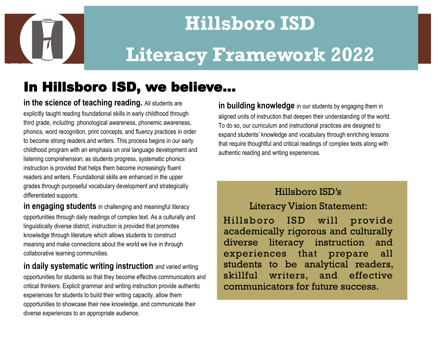

# **Hillsboro ISD Literacy Framework 2022**

### In Hillsboro ISD, we believe...

**in the science of teaching reading.** All students are explicitly taught reading foundational skills in early childhood through third grade, including: phonological awareness, phonemic awareness, phonics, word recognition, print concepts, and fluency practices in order to become strong readers and writers. This process begins in our early childhood program with an emphasis on oral language development and listening comprehension; as students progress, systematic phonics instruction is provided that helps them become increasingly fluent readers and writers. Foundational skills are enhanced in the upper grades through purposeful vocabulary development and strategically differentiated supports.

**in engaging students** in challenging and meaningful literacy opportunities through daily readings of complex text. As a culturally and linguistically diverse district, instruction is provided that promotes knowledge through literature which allows students to construct meaning and make connections about the world we live in through collaborative learning communities.

**in daily systematic writing instruction** and varied writing opportunities for students so that they become effective communicators and critical thinkers. Explicit grammar and writing instruction provide authentic experiences for students to build their writing capacity, allow them opportunities to showcase their new knowledge, and communicate their diverse experiences to an appropriate audience.

**in building knowledge** in our students by engaging them in aligned units of instruction that deepen their understanding of the world. To do so, our curriculum and instructional practices are designed to expand students' knowledge and vocabulary through enriching lessons that require thoughtful and critical readings of complex texts along with authentic reading and writing experiences.

### Hillsboro ISD's

Literacy Vision Statement:

Hillsboro ISD will provide academically rigorous and culturally diverse literacy instruction and experiences that prepare all students to be analytical readers, skillful writers, and effective communicators for future success.